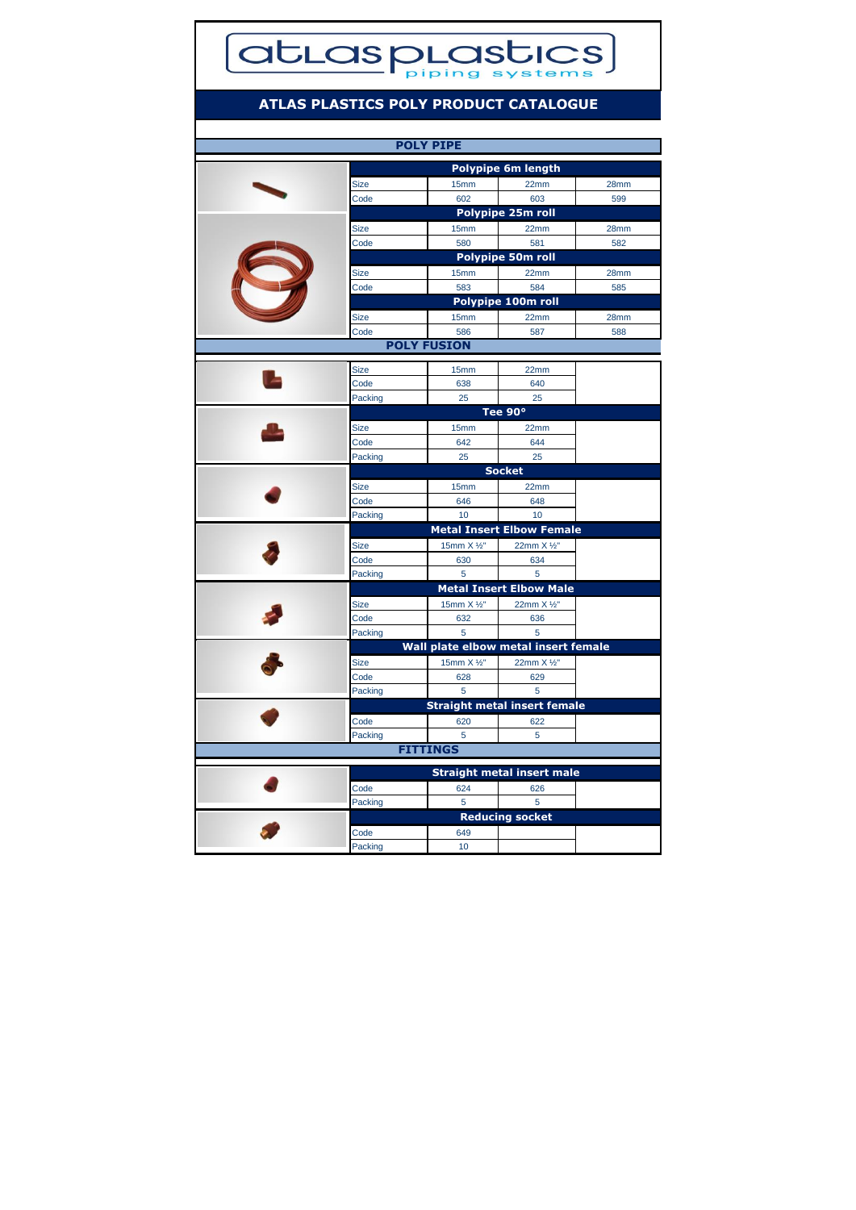## **atLasplastics**

## **ATLAS PLASTICS POLY PRODUCT CATALOGUE**

| <b>POLY PIPE</b>   |                           |                                      |                                     |             |  |  |
|--------------------|---------------------------|--------------------------------------|-------------------------------------|-------------|--|--|
|                    | <b>Polypipe 6m length</b> |                                      |                                     |             |  |  |
|                    | Size                      | 15mm                                 | 22mm                                | 28mm        |  |  |
|                    | Code                      | 602                                  | 603                                 | 599         |  |  |
|                    |                           |                                      | Polypipe 25m roll                   |             |  |  |
|                    | Size                      | 15mm                                 | 22mm                                | 28mm        |  |  |
|                    | Code                      | 580                                  | 581                                 | 582         |  |  |
|                    |                           |                                      | Polypipe 50m roll                   |             |  |  |
|                    |                           |                                      |                                     |             |  |  |
|                    | Size<br>Code              | 15mm<br>583                          | 22mm<br>584                         | 28mm<br>585 |  |  |
|                    |                           |                                      | Polypipe 100m roll                  |             |  |  |
|                    |                           |                                      |                                     |             |  |  |
|                    | Size                      | 15mm                                 | 22mm                                | 28mm        |  |  |
|                    | Code                      | 586                                  | 587                                 | 588         |  |  |
| <b>POLY FUSION</b> |                           |                                      |                                     |             |  |  |
|                    | <b>Size</b>               | 15mm                                 | 22mm                                |             |  |  |
|                    | Code                      | 638                                  | 640                                 |             |  |  |
|                    | Packing                   | 25                                   | 25                                  |             |  |  |
|                    | Tee 90°                   |                                      |                                     |             |  |  |
|                    | Size                      | 15mm                                 | 22mm                                |             |  |  |
|                    | Code                      | 642                                  | 644                                 |             |  |  |
|                    | Packing                   | 25                                   | 25                                  |             |  |  |
|                    | <b>Socket</b>             |                                      |                                     |             |  |  |
|                    | <b>Size</b>               | 15mm                                 | 22mm                                |             |  |  |
|                    | Code                      | 646                                  | 648                                 |             |  |  |
|                    | Packing                   | 10                                   | 10                                  |             |  |  |
|                    |                           |                                      | <b>Metal Insert Elbow Female</b>    |             |  |  |
|                    | <b>Size</b>               | 15mm X 1/2"                          | 22mm X 1/2"                         |             |  |  |
|                    | Code                      | 630                                  | 634                                 |             |  |  |
|                    | Packing                   | 5                                    | 5                                   |             |  |  |
|                    |                           |                                      | <b>Metal Insert Elbow Male</b>      |             |  |  |
|                    | <b>Size</b>               | 15mm X 1/2"                          | 22mm X 1/2"                         |             |  |  |
|                    | Code                      | 632                                  | 636                                 |             |  |  |
|                    | Packing                   | 5                                    | 5                                   |             |  |  |
|                    |                           | Wall plate elbow metal insert female |                                     |             |  |  |
|                    | Size                      | 15mm X 1/2"                          | 22mm X 1/2"                         |             |  |  |
|                    | Code                      | 628                                  | 629                                 |             |  |  |
|                    | Packing                   | 5                                    | 5                                   |             |  |  |
|                    |                           |                                      | <b>Straight metal insert female</b> |             |  |  |
|                    | Code                      | 620                                  | 622                                 |             |  |  |
|                    | Packing                   | 5                                    | 5                                   |             |  |  |
|                    |                           | <b>FITTINGS</b>                      |                                     |             |  |  |
|                    |                           |                                      |                                     |             |  |  |
|                    |                           |                                      | <b>Straight metal insert male</b>   |             |  |  |
|                    | Code                      | 624                                  | 626                                 |             |  |  |
|                    | Packing                   | 5                                    | 5                                   |             |  |  |
|                    |                           |                                      | <b>Reducing socket</b>              |             |  |  |
|                    | Code                      | 649                                  |                                     |             |  |  |
|                    | Packing                   | 10                                   |                                     |             |  |  |